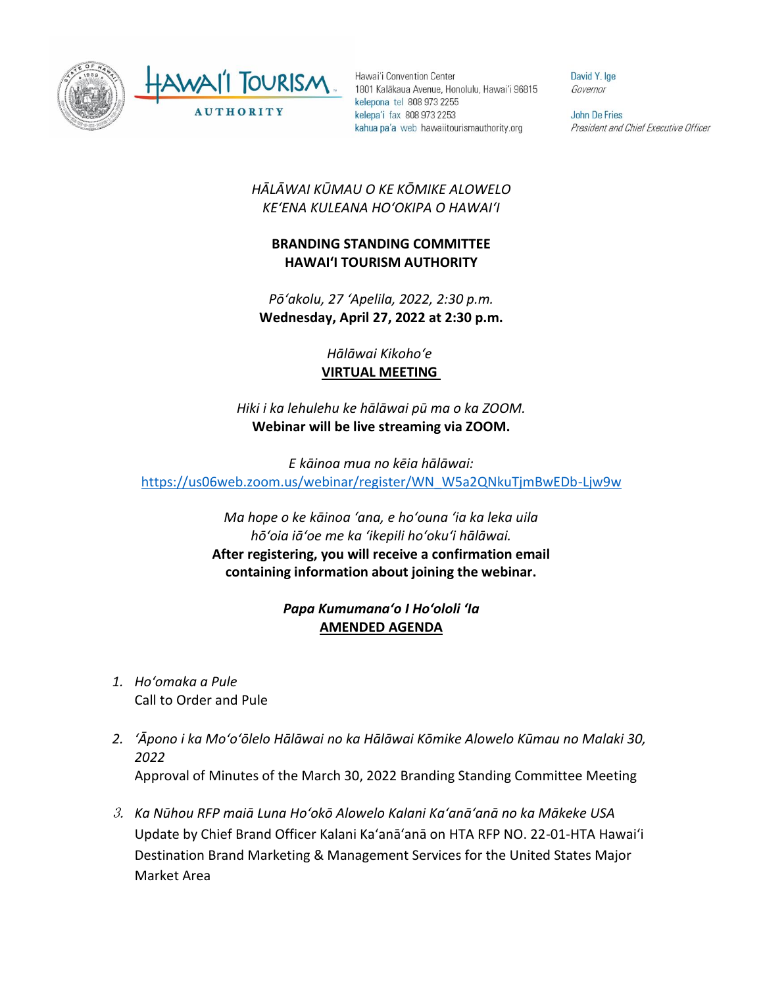

Hawai'i Convention Center 1801 Kalākaua Avenue, Honolulu, Hawai'i 96815 kelepona tel 808 973 2255 kelepa'i fax 808 973 2253 kahua pa'a web hawaiitourismauthority.org

David Y. Ige Governor

**John De Fries** President and Chief Executive Officer

## *HĀLĀWAI KŪMAU O KE KŌMIKE ALOWELO KEʻENA KULEANA HOʻOKIPA O HAWAIʻI*

## **BRANDING STANDING COMMITTEE HAWAI'I TOURISM AUTHORITY**

*Pōʻakolu, 27 ʻApelila, 2022, 2:30 p.m.* **Wednesday, April 27, 2022 at 2:30 p.m.**

> *Hālāwai Kikohoʻe* **VIRTUAL MEETING**

*Hiki i ka lehulehu ke hālāwai pū ma o ka ZOOM.* **Webinar will be live streaming via ZOOM.**

*E kāinoa mua no kēia hālāwai:* [https://us06web.zoom.us/webinar/register/WN\\_W5a2QNkuTjmBwEDb-Ljw9w](https://us06web.zoom.us/webinar/register/WN_W5a2QNkuTjmBwEDb-Ljw9w)

> *Ma hope o ke kāinoa ʻana, e hoʻouna ʻia ka leka uila hōʻoia iāʻoe me ka ʻikepili hoʻokuʻi hālāwai.*  **After registering, you will receive a confirmation email containing information about joining the webinar.**

## *Papa Kumumanaʻo I Hoʻololi ʻIa* **AMENDED AGENDA**

- *1. Hoʻomaka a Pule* Call to Order and Pule
- *2. ʻĀpono i ka Moʻoʻōlelo Hālāwai no ka Hālāwai Kōmike Alowelo Kūmau no Malaki 30, 2022* Approval of Minutes of the March 30, 2022 Branding Standing Committee Meeting
- 3. *Ka Nūhou RFP maiā Luna Hoʻokō Alowelo Kalani Kaʻanāʻanā no ka Mākeke USA*  Update by Chief Brand Officer Kalani Kaʻanāʻanā on HTA RFP NO. 22-01-HTA Hawaiʻi Destination Brand Marketing & Management Services for the United States Major Market Area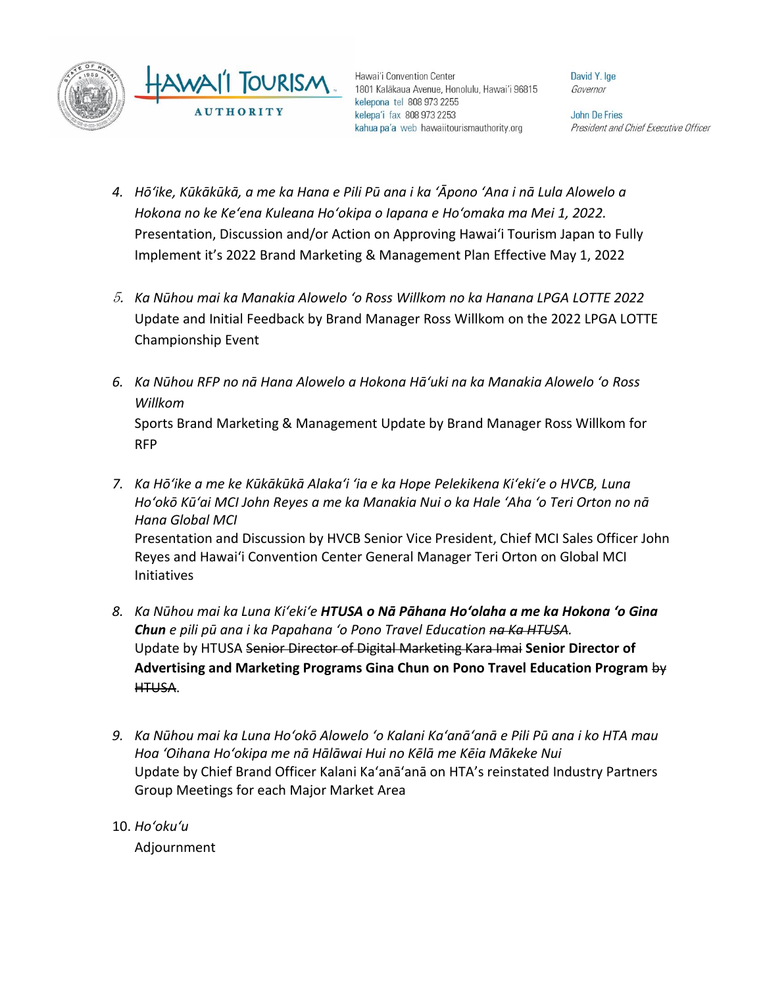

Hawai'i Convention Center 1801 Kalākaua Avenue, Honolulu, Hawai'i 96815 kelepona tel 808 973 2255 kelepa'i fax 808 973 2253 kahua pa'a web hawaiitourismauthority.org

David Y. Ige Governor

**John De Fries** President and Chief Executive Officer

- *4. Hōʻike, Kūkākūkā, a me ka Hana e Pili Pū ana i ka ʻĀpono ʻAna i nā Lula Alowelo a Hokona no ke Keʻena Kuleana Hoʻokipa o Iapana e Hoʻomaka ma Mei 1, 2022.* Presentation, Discussion and/or Action on Approving Hawaiʻi Tourism Japan to Fully Implement it's 2022 Brand Marketing & Management Plan Effective May 1, 2022
- 5. *Ka Nūhou mai ka Manakia Alowelo ʻo Ross Willkom no ka Hanana LPGA LOTTE 2022* Update and Initial Feedback by Brand Manager Ross Willkom on the 2022 LPGA LOTTE Championship Event
- *6. Ka Nūhou RFP no nā Hana Alowelo a Hokona Hāʻuki na ka Manakia Alowelo ʻo Ross Willkom* Sports Brand Marketing & Management Update by Brand Manager Ross Willkom for RFP
- *7. Ka Hōʻike a me ke Kūkākūkā Alakaʻi ʻia e ka Hope Pelekikena Kiʻekiʻe o HVCB, Luna Hoʻokō Kūʻai MCI John Reyes a me ka Manakia Nui o ka Hale ʻAha ʻo Teri Orton no nā Hana Global MCI* Presentation and Discussion by HVCB Senior Vice President, Chief MCI Sales Officer John Reyes and Hawaiʻi Convention Center General Manager Teri Orton on Global MCI Initiatives
- *8. Ka Nūhou mai ka Luna Kiʻekiʻe HTUSA o Nā Pāhana Hoʻolaha a me ka Hokona ʻo Gina Chun e pili pū ana i ka Papahana ʻo Pono Travel Education na Ka HTUSA.* Update by HTUSA Senior Director of Digital Marketing Kara Imai **Senior Director of Advertising and Marketing Programs Gina Chun on Pono Travel Education Program** by HTUSA.
- *9. Ka Nūhou mai ka Luna Hoʻokō Alowelo ʻo Kalani Kaʻanāʻanā e Pili Pū ana i ko HTA mau Hoa ʻOihana Hoʻokipa me nā Hālāwai Hui no Kēlā me Kēia Mākeke Nui* Update by Chief Brand Officer Kalani Kaʻanāʻanā on HTA's reinstated Industry Partners Group Meetings for each Major Market Area
- 10. *Hoʻokuʻu* Adjournment